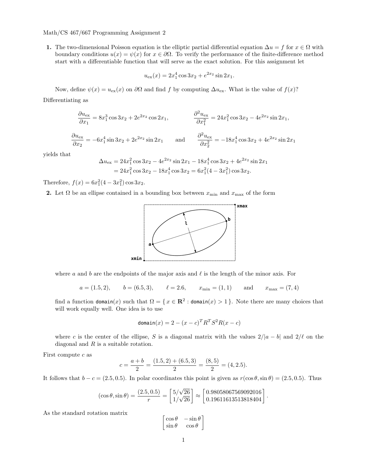**1.** The two-dimensional Poisson equation is the elliptic partial differential equation  $\Delta u = f$  for  $x \in \Omega$  with boundary conditions  $u(x) = \psi(x)$  for  $x \in \partial \Omega$ . To verify the performance of the finite-difference method start with a differentiable function that will serve as the exact solution. For this assignment let

$$
u_{\text{ex}}(x) = 2x_1^4 \cos 3x_2 + e^{2x_2} \sin 2x_1.
$$

Now, define  $ψ(x) = u_{ex}(x)$  on  $\partial Ω$  and find f by computing  $\Delta u_{ex}$ . What is the value of  $f(x)$ ?

Differentiating as

$$
\frac{\partial u_{\text{ex}}}{\partial x_1} = 8x_1^3 \cos 3x_2 + 2e^{2x_2} \cos 2x_1, \qquad \frac{\partial^2 u_{\text{ex}}}{\partial x_1^2} = 24x_1^2 \cos 3x_2 - 4e^{2x_2} \sin 2x_1,
$$

$$
\frac{\partial u_{\text{ex}}}{\partial x_2} = -6x_1^4 \sin 3x_2 + 2e^{2x_2} \sin 2x_1 \quad \text{and} \quad \frac{\partial^2 u_{\text{ex}}}{\partial x_2^2} = -18x_1^4 \cos 3x_2 + 4e^{2x_2} \sin 2x_1
$$

yields that

$$
\Delta u_{\rm ex} = 24x_1^2 \cos 3x_2 - 4e^{2x_2} \sin 2x_1 - 18x_1^4 \cos 3x_2 + 4e^{2x_2} \sin 2x_1
$$
  
=  $24x_1^2 \cos 3x_2 - 18x_1^4 \cos 3x_2 = 6x_1^2 (4 - 3x_1^2) \cos 3x_2.$ 

Therefore,  $f(x) = 6x_1^2(4 - 3x_1^2)\cos 3x_2$ .

**2.** Let  $\Omega$  be an ellipse contained in a bounding box between  $x_{\text{min}}$  and  $x_{\text{max}}$  of the form



where *a* and *b* are the endpoints of the major axis and *ℓ* is the length of the minor axis. For

$$
a = (1.5, 2),
$$
  $b = (6.5, 3),$   $\ell = 2.6,$   $x_{\min} = (1, 1)$  and  $x_{\max} = (7, 4)$ 

find a function domain(*x*) such that  $\Omega = \{x \in \mathbb{R}^2 : \text{domain}(x) > 1\}$ . Note there are many choices that will work equally well. One idea is to use

$$
\text{domain}(x) = 2 - (x - c)^T R^T S^2 R (x - c)
$$

where *c* is the center of the ellipse, *S* is a diagonal matrix with the values  $2/|a - b|$  and  $2/\ell$  on the diagonal and *R* is a suitable rotation.

First compute *c* as

$$
c = \frac{a+b}{2} = \frac{(1.5,2) + (6.5,3)}{2} = \frac{(8,5)}{2} = (4,2.5).
$$

It follows that  $b - c = (2.5, 0.5)$ . In polar coordinates this point is given as  $r(\cos \theta, \sin \theta) = (2.5, 0.5)$ . Thus

$$
(\cos \theta, \sin \theta) = \frac{(2.5, 0.5)}{r} = \left[\frac{5/\sqrt{26}}{1/\sqrt{26}}\right] \approx \left[\frac{0.98058067569092016}{0.19611613513818404}\right]
$$

*.*

As the standard rotation matrix

$$
\begin{bmatrix}\cos\theta & -\sin\theta \\ \sin\theta & \cos\theta\end{bmatrix}
$$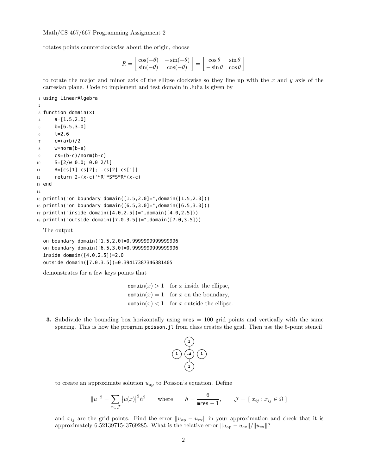rotates points counterclockwise about the origin, choose

$$
R = \begin{bmatrix} \cos(-\theta) & -\sin(-\theta) \\ \sin(-\theta) & \cos(-\theta) \end{bmatrix} = \begin{bmatrix} \cos\theta & \sin\theta \\ -\sin\theta & \cos\theta \end{bmatrix}
$$

to rotate the major and minor axis of the ellipse clockwise so they line up with the *x* and *y* axis of the cartesian plane. Code to implement and test domain in Julia is given by

```
1 using LinearAlgebra
2
3 function domain(x)
4 a=[1.5, 2.0]5 b=[6.5,3.0]
6 \t l=2.67 \text{ } c=(a+b)/2w=norm(b-a)9 CS=(b-c)/norm(b-c)10 S=[2/w 0.0; 0.0 2/l]
11 R=[cs[1] cs[2]; -cs[2] cs[1]]
12 return 2-(x-c)'*R'*S*S*R*(x-c)
13 end
14
15 println("on boundary domain([1.5,2.0]=",domain([1.5,2.0]))
16 println("on boundary domain([6.5,3.0]=",domain([6.5,3.0]))
17 println("inside domain([4.0,2.5])=",domain([4.0,2.5]))
18 println("outside domain([7.0,3.5])=",domain([7.0,3.5]))
  The output
```
on boundary domain([1.5,2.0]=0.9999999999999996 on boundary domain([6.5,3.0]=0.9999999999999996 inside domain([4.0,2.5])=2.0 outside domain([7.0,3.5])=0.39417387346381405

demonstrates for a few keys points that

 $domain(x) > 1$  for *x* inside the ellipse,  $domain(x) = 1$  for *x* on the boundary, domain $(x)$  < 1 for *x* outside the ellipse.

**3.** Subdivide the bounding box horizontally using mres = 100 grid points and vertically with the same spacing. This is how the program poisson.jl from class creates the grid. Then use the 5-point stencil



to create an approximate solution  $u_{\text{ap}}$  to Poisson's equation. Define

$$
||u||^2 = \sum_{x \in \mathcal{J}} |u(x)|^2 h^2 \quad \text{where} \quad h = \frac{6}{\text{mres} - 1}, \quad \mathcal{J} = \{x_{ij} : x_{ij} \in \Omega\}
$$

and  $x_{ij}$  are the grid points. Find the error  $||u_{ap} - u_{ex}||$  in your approximation and check that it is approximately 6.5213971543769285. What is the relative error  $||u_{ap} - u_{ex}||/||u_{ex}||$ ?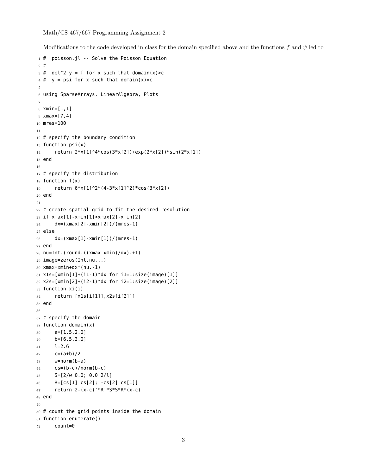Modifications to the code developed in class for the domain specified above and the functions *f* and *ψ* led to

```
1 # poisson.jl -- Solve the Poisson Equation
2 #
3 \# del^2 y = f for x such that domain(x)>c
4 \# y = psi for x such that domain(x)=c
5
6 using SparseArrays, LinearAlgebra, Plots
7
8 xmin=[1,1]
9 xmax=[7,4]
10 mres=100
11
12 # specify the boundary condition
13 function psi(x)14 return 2*x[1]^4*cos(3*x[2])+exp(2*x[2])*sin(2*x[1])
15 end
16
17 # specify the distribution
18 function f(x)
19 return 6*x[1]^2*(4-3*x[1]^2)*cos(3*x[2])
20 end
21
22 # create spatial grid to fit the desired resolution
23 if xmax[1]-xmin[1]<xmax[2]-xmin[2]
24 dx=(xmax[2]-xmin[2])/(mres-1)
25 else
26 dx=(xmax[1]-xmin[1])/(mres-1)
27 end
28 nu=Int.(round.((xmax-xmin)/dx).+1)
29 image=zeros(Int,nu...)
30 xmax=xmin+dx*(nu.-1)
31 x1s=[xmin[1]+(i1-1)*dx for i1=1:size(image)[1]]
32 x2s=[xmin[2]+(i2-1)*dx for i2=1:size(image)[2]]
33 function xi(i)
34 return [x1s[i[1]],x2s[i[2]]]
35 end
36
37 # specify the domain
38 function domain(x)
39 a=[1.5,2.0]
40 b=[6.5,3.0]
41 l=2.6
42 c=(a+b)/243 w=norm(b-a)
44 CS=(b-c)/norm(b-c)45 S=[2/w 0.0; 0.0 2/l]
46 R=[cs[1] cs[2]; -cs[2] cs[1]]
47 return 2-(x-c)'*R'*S*S*R*(x-c)
48 end
49
50 # count the grid points inside the domain
51 function enumerate()
52 count=0
```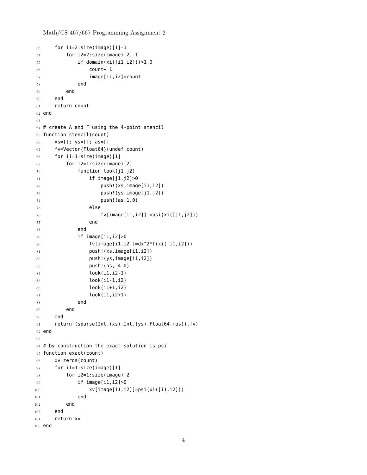Math/CS 467/667 Programming Assignment 2

```
53 for il=2:size(image)[1]-1
54 for i2=2:size(image)[2]-1
55 if domain(xi([i1,i2]))>1.0
56 count+=1
57 image[i1,i2]=count
58 end
59 end
60 end
61 return count
62 end
63
64 # create A and F using the 4-point stencil
65 function stencil(count)
66 xs=[]; ys=[]; as=[]
67 fv=Vector{Float64}(undef,count)
68 for i1=1:size(image)[1]
69 for i2=1:size(image)[2]
70 function look(j1,j2)
71 if image[j1,j2]>0
72 push!(xs,image[i1,i2])
73 push!(ys,image[j1,j2])
74 push!(as,1.0)
75 else
76 fv[image[i1,i2]]-=psi(xi([j1,j2]))
77 end
78 end
79 if image[i1,i2]>0
80 f_v[image[i1, i2]] = dx^2 * f(xi([i1, i2]))81 push!(xs,image[i1,i2])
82 push!(ys,image[i1,i2])
83 push!(as,-4.0)
84 look(i1,i2-1)
85 look(i1-1,i2)
86 look(i1+1,i2)
87 look(i1,i2+1)
88 end
89 end
90 end
91 return (sparse(Int.(xs),Int.(ys),Float64.(as)),fv)
92 end
93
94 # by construction the exact solution is psi
95 function exact(count)
96 xv=zeros(count)
97 for i1=1:size(image)[1]
98 for i2=1:size(image)[2]
99 if image[i1,i2]>0
100 xv[image[i1, i2]] =psi(xi([i1, i2]))101 end
102 end
103 end
104 return xv
105 end
```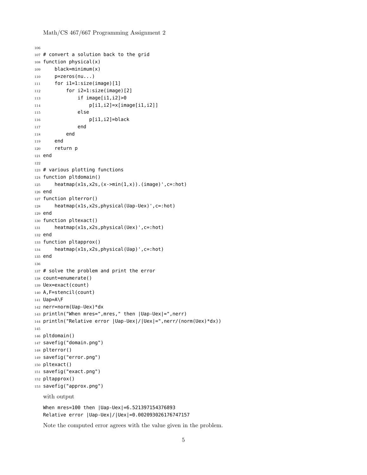Math/CS 467/667 Programming Assignment 2

```
106
107 # convert a solution back to the grid
108 function physical(x)
109 black=minimum(x)
110 p=zeros(nu...)
111 for il=1:size(image)[1]
112 for i2=1:size(image)[2]
113 if image[i1,i2]>0
114 p[i1,i2]=x[image[i1,i2]]
115 else
116 p[i1,i2]=black
117 end
118 end
119 end
120 return p
121 end
122
123 # various plotting functions
124 function pltdomain()
125 heatmap(x1s,x2s,(x->min(1,x)).(image)',c=:hot)
126 end
127 function plterror()
128 heatmap(x1s,x2s,physical(Uap-Uex)',c=:hot)
129 end
130 function pltexact()
131 heatmap(x1s,x2s,physical(Uex)',c=:hot)
132 end
133 function pltapprox()
134 heatmap(x1s,x2s,physical(Uap)',c=:hot)
135 end
136
137 # solve the problem and print the error
138 count=enumerate()
139 Uex=exact(count)
140 A,F=stencil(count)
141 Uap=A\F
142 nerr=norm(Uap-Uex)*dx
143 println("When mres=",mres," then |Uap-Uex|=",nerr)
144 println("Relative error |Uap-Uex|/|Uex|=",nerr/(norm(Uex)*dx))
145
146 pltdomain()
147 savefig("domain.png")
148 plterror()
149 savefig("error.png")
150 pltexact()
151 savefig("exact.png")
152 pltapprox()
153 savefig("approx.png")
   with output
   When mres=100 then |Uap-Uex|=6.521397154376893
   Relative error |Uap-Uex|/|Uex|=0.002093026176747157
```
Note the computed error agrees with the value given in the problem.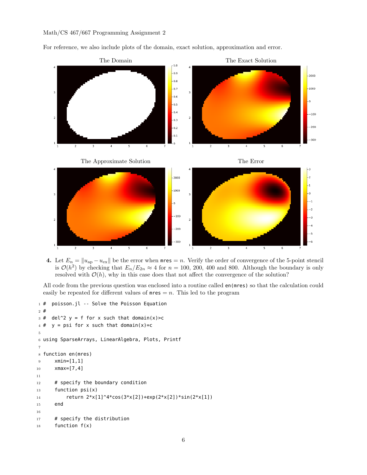For reference, we also include plots of the domain, exact solution, approximation and error.



**4.** Let  $E_n = ||u_{ap} - u_{ex}||$  be the error when mres = *n*. Verify the order of convergence of the 5-point stencil is  $\mathcal{O}(h^2)$  by checking that  $E_n/E_{2n} \approx 4$  for  $n = 100, 200, 400$  and 800. Although the boundary is only resolved with  $\mathcal{O}(h)$ , why in this case does that not affect the convergence of the solution?

All code from the previous question was enclosed into a routine called en(mres) so that the calculation could easily be repeated for different values of  $mres = n$ . This led to the program

```
1 # poisson.jl -- Solve the Poisson Equation
2 #
3 \# del^2 y = f for x such that domain(x)>c
4 \# y = psi for x such that domain(x)=c
5
6 using SparseArrays, LinearAlgebra, Plots, Printf
7
8 function en(mres)
9 xmin=[1,1]
10 xmax=[7,4]
11
12 # specify the boundary condition
13 function psi(x)
14 return 2*x[1]^4*cos(3*x[2])+exp(2*x[2])*sin(2*x[1])15 end
16
17 # specify the distribution
18 function f(x)
```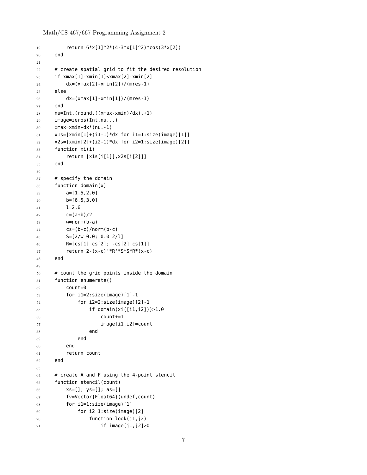Math/CS 467/667 Programming Assignment 2

```
19 return 6*x[1]^2*(4-3*x[1]^2)*cos(3*x[2])
20 end
21
22 # create spatial grid to fit the desired resolution
23 if xmax[1]-xmin[1]<xmax[2]-xmin[2]
24 dx=(xmax[2]-xmin[2])/(mres-1)
25 else
26 dx=(xmax[1]-xmin[1])/(mres-1)
27 end
28 nu=Int.(round.((xmax-xmin)/dx).+1)
29 image=zeros(Int,nu...)
30 xmax=xmin+dx*(nu.-1)
31 x1s=[xmin[1]+(i1-1)*dx for i1=1:size(image)[1]]32 \times 2s=[xmin[2]+(i2-1)*dx for i2=1:size(iimage)[2]33 function xi(i)
34 return [x1s[i[1]],x2s[i[2]]]
35 end
36
37 # specify the domain
38 function domain(x)
39 a=[1.5,2.0]
40 b=[6.5,3.0]
41 l=2.6
42 c=(a+b)/243 w=norm(b-a)
44 cs=(b-c)/norm(b-c)
45 S=[2/w 0.0; 0.0 2/l]
46 R=[cs[1] cs[2]; -cs[2] cs[1]]
47 return 2-(x-c)'*R'*S*S*R*(x-c)
48 end
49
50 # count the grid points inside the domain
51 function enumerate()
52 count=0
53 for i1=2:size(image)[1]-1
54 for i2=2:size(image)[2]-1
55 if domain(xi([i1,i2]))>1.0
56 count+=1
57 image[i1,i2]=count
58 end
59 end
60 end
61 return count
62 end
63
64 # create A and F using the 4-point stencil
65 function stencil(count)
66 xs=[]; ys=[]; as=[]
67 fv=Vector{Float64}(undef,count)
68 for i1=1:size(image)[1]
69 for i2=1:size(image) [2]
70 function look(j1,j2)
71 if image[j1,j2]>0
```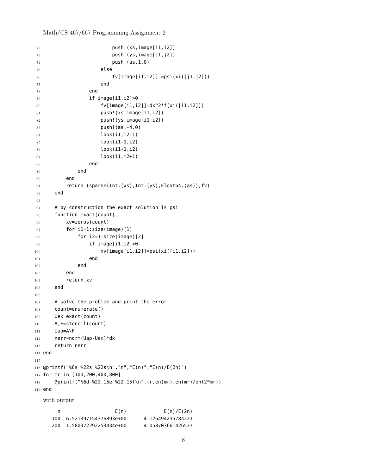Math/CS 467/667 Programming Assignment 2

```
72 push!(xs,image[i1,i2])
73 push!(ys,image[j1,j2])
74 push!(as,1.0)
75 else
76 fv[image[i1,i2]]-=psi(xi([j1,j2]))
77 end
78 end
79 if image[i1,i2]>0
80 f_v[image[i1, i2]] = dx^2 * f(xi([i1, i2]))81 push!(xs,image[i1,i2])
82 push!(ys,image[i1,i2])
83 push!(as,-4.0)
84 look(i1,i2-1)
85 look(i1-1,i2)
86 look(i1+1,i2)
87 look(i1,i2+1)
88 end
89 end
90 end
91 return (sparse(Int.(xs),Int.(ys),Float64.(as)),fv)
92 end
93
94 # by construction the exact solution is psi
95 function exact(count)
96 xv=zeros(count)
97 for i1=1:size(image)[1]
98 for i2=1:size(image)[2]
99 if image[i1,i2]>0
100 xv[image[i1, i2]] =psi(xi([i1, i2]))101 end
102 end
103 end
104 return xv
105 end
106
107 # solve the problem and print the error
108 count=enumerate()
109 Uex=exact(count)
110 A,F=stencil(count)
111 Uap=A\F
112 nerr=norm(Uap-Uex)*dx
113 return nerr
114 end
115
116 @printf("%6s %22s %22s\n","n","E(n)","E(n)/E(2n)")
117 for mr in [100,200,400,800]
118 @printf("%6d %22.15e %22.15f\n",mr,en(mr),en(mr)/en(2*mr))
119 end
  with output
     n E(n) E(n)/E(2n)100 6.521397154376893e+00 4.126494235784221
    200 1.580372292253434e+00 4.058703661426537
```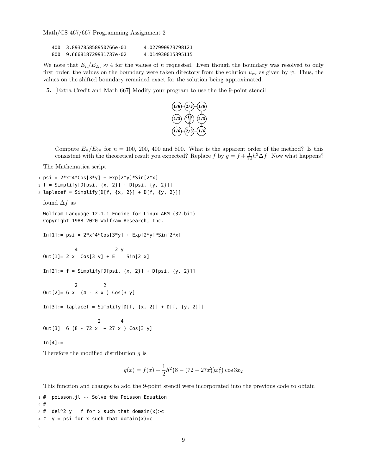| 400 | 3.893785858950766e-01 | 4.027990973798121 |
|-----|-----------------------|-------------------|
| 800 | 9.666818729931737e-02 | 4.014930015395115 |

We note that  $E_n/E_{2n} \approx 4$  for the values of *n* requested. Even though the boundary was resolved to only first order, the values on the boundary were taken directory from the solution  $u_{\text{ex}}$  as given by  $\psi$ . Thus, the values on the shifted boundary remained exact for the solution being approximated.

**5.** [Extra Credit and Math 667] Modify your program to use the the 9-point stencil



Compute  $E_n/E_{2n}$  for  $n = 100, 200, 400$  and 800. What is the apparent order of the method? Is this consistent with the theoretical result you expected? Replace *f* by  $g = f + \frac{1}{12}h^2\Delta f$ . Now what happens?

The Mathematica script

```
1 \text{ psi} = 2*x^4*Cos[3*y] + Exp[2*y]*Sin[2*x]2 f = Simplify[D[psi, {x, 2}] + D[psi, {y, 2}]]3 laplacef = Simplify[D[f, {x, 2}] + D[f, {y, 2}]]
 found \Delta f as
 Wolfram Language 12.1.1 Engine for Linux ARM (32-bit)
 Copyright 1988-2020 Wolfram Research, Inc.
 In[1]:= psi = 2*x^4*Cos[3*y] + Exp[2*y]*Sin[2*x]4 2 y
 Out[1] = 2 \times Cos[3 y] + E Sin[2 x]
 In[2]: = f = Simplify[D[psi, {x, 2}] + D[psi, {y, 2}]]2 2
 Out[2] = 6 \times (4 - 3 \times) Cos[3 y]In[3]: = Laplacef = Simplify[D[f, {x, 2}] + D[f, {y, 2}]]2 4
 Out[3] = 6 (8 - 72 x + 27 x) Cos[3 y]In[4]:=
```
Therefore the modified distribution *g* is

$$
g(x) = f(x) + \frac{1}{2}h^2(8 - (72 - 27x_1^2)x_1^2)\cos 3x_2
$$

This function and changes to add the 9-point stencil were incorporated into the previous code to obtain

```
1 # poisson.jl -- Solve the Poisson Equation
2 #
3 \# del^2 y = f for x such that domain(x)>c
4 \# y = psi for x such that domain(x)=c
5
```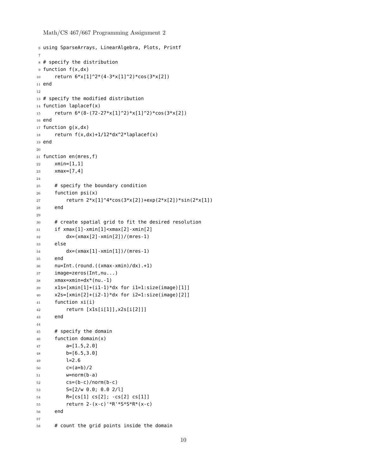Math/CS 467/667 Programming Assignment 2

```
6 using SparseArrays, LinearAlgebra, Plots, Printf
7
8 # specify the distribution
9 function f(x,dx)
10 return 6*x[1]^2*(4-3*x[1]^2)*cos(3*x[2])11 end
12
13 # specify the modified distribution
14 function laplacef(x)
15 return 6*(8-(72-27*x[1]^2)*x[1]^2)*cos(3*x[2])16 end
17 function g(x, dx)18 return f(x, dx) + 1/12*dx^2*laplace f(x)19 end
20
21 function en(mres,f)
22 xmin=[1,1]
23 xmax=[7,4]
24
25 # specify the boundary condition
26 function psi(x)27 return 2*x[1]^4*cos(3*x[2])+exp(2*x[2])*sin(2*x[1])28 end
29
30 # create spatial grid to fit the desired resolution
31 if xmax[1]-xmin[1]<xmax[2]-xmin[2]
32 dx=(xmax[2]-xmin[2])/(mres-1)
33 else
34 dx=(xmax[1]-xmin[1])/(mres-1)
35 end
36 nu=Int.(round.((xmax-xmin)/dx).+1)
37 image=zeros(Int,nu...)
38 xmax=xmin+dx*(nu.-1)
39 x1s=[xmin[1]+(i1-1)*dx for i1=1:size(image)[1]]
40 x2s=[xmin[2]+(i2-1)*dx for i2=1:size(image)[2]]
41 function xi(i)
42 return [x1s[i[1]],x2s[i[2]]]
43 end
44
45 # specify the domain
46 function domain(x)
47 a=[1.5,2.0]
48 b=[6.5,3.0]
49 l=2.6
50 \text{ } c=(a+b)/2
51 w=norm(b-a)
52 CS = (b - c) / n \text{ or } m (b - c)53 S=[2/w 0.0; 0.0 2/l]
54 R=[cs[1] cs[2]; -cs[2] cs[1]]
55 return 2-(x-c)'*R'*S*S*R*(x-c)
56 end
57
58 # count the grid points inside the domain
```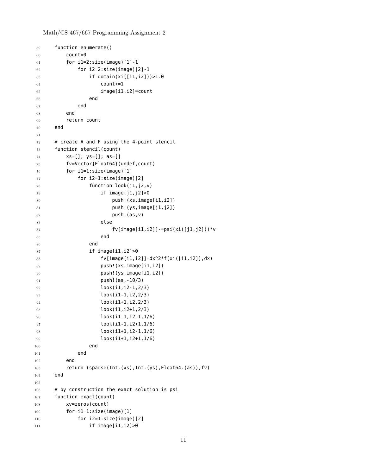Math/CS 467/667 Programming Assignment 2

```
59 function enumerate()
60 count=\theta61 for i1=2:size(image)[1]-1
62 for i2=2:size(image) [2]-163 if domain(xi([i1,i2]))>1.0
64 count+=1
65 image[i1,i2]=count
66 end
67 end
68 end
69 return count
70 end
71
72 # create A and F using the 4-point stencil
73 function stencil(count)
74 xs=[]; ys=[]; as=[]
75 fv=Vector{Float64}(undef,count)
76 for il=1:size(image)[1]
77 for i2=1:size(image)[2]
78 function look(j1,j2,v)
79 if image[j1,j2]>0
80 push!(xs,image[i1,i2])
81 push!(ys,image[j1,j2])
82 push! (as, v)
83 else
84 fv[image[i1,i2]]-=psi(xi([j1,j2]))*v
85 end
86 end
87 if image[i1,i2]>0
88 fv[image[i1,i2]]=dx^2*f(xi([i1,i2]),dx)
89 push!(xs,image[i1,i2])
90 push!(ys,image[i1,i2])
91 push!(as,-10/3)
92 look(i1,i2-1,2/3)
93 look(i1-1,i2,2/3)
94 look(i1+1,i2,2/3)
95 look(i1,i2+1,2/3)
96 look(i1-1,i2-1,1/6)
97 look(i1-1,i2+1,1/6)
98 look(i1+1,i2-1,1/6)
99 look(i1+1,i2+1,1/6)
100 end
101 end
102 end
103 return (sparse(Int.(xs),Int.(ys),Float64.(as)),fv)
104 end
105
106 # by construction the exact solution is psi
107 function exact(count)
108 xv=zeros(count)
109 for il=1:size(image)[1]
110 for i2=1:size(image)[2]
111 if image[i1,i2]>0
```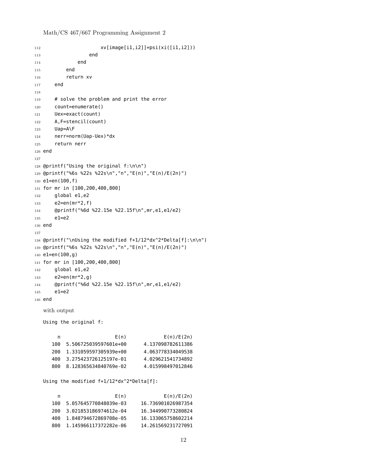Math/CS 467/667 Programming Assignment 2

```
112 \text{XV}[image[i1,i2]]=psi(xi([i1,i2]))
113 end
114 end
115 end
116 return xv
117 end
118
119 # solve the problem and print the error
120 count=enumerate()
121 Uex=exact(count)
122 A,F=stencil(count)
123 Uap=A\F
124 nerr=norm(Uap-Uex)*dx
125 return nerr
126 end
127
128 @printf("Using the original f:\n\n")
129 @printf("%6s %22s %22s\n","n","E(n)","E(n)/E(2n)")
130 e1=en(100,f)
131 for mr in [100,200,400,800]
132 global e1,e2
133 e2=en(mr*2, f)
134 @printf("%6d %22.15e %22.15f\n",mr,e1,e1/e2)
135 e1=e2
136 end
137
138 @printf("\nUsing the modified f+1/12*dx^2*Delta[f]:\n\n")
139 @printf("%6s %22s %22s\n","n","E(n)","E(n)/E(2n)")
140 e1=en(100,g)
141 for mr in [100,200,400,800]
142 global e1,e2
143 e2=en(mr*2,g)
144 @printf("%6d %22.15e %22.15f\n",mr,e1,e1/e2)
145 e1=e2
146 end
  with output
  Using the original f:
      n E(n) E(n)/E(2n)
     100 5.506725039597601e+00 4.137098782611386
     200 1.331059597305939e+00 4.063778334049538
     400 3.275423726125197e-01 4.029621541734892
     800 8.128365634840769e-02 4.015998497012846
  Using the modified f+1/12*dx^2*Delta[f]:
      n E(n) E(n)/E(2n)
     100 5.057645770848039e-03 16.736901026987354
     200 3.021853186974612e-04 16.344990773280824
     400 1.848794672869708e-05 16.133065758602214
     800 1.145966117372282e-06 14.261569231727091
```